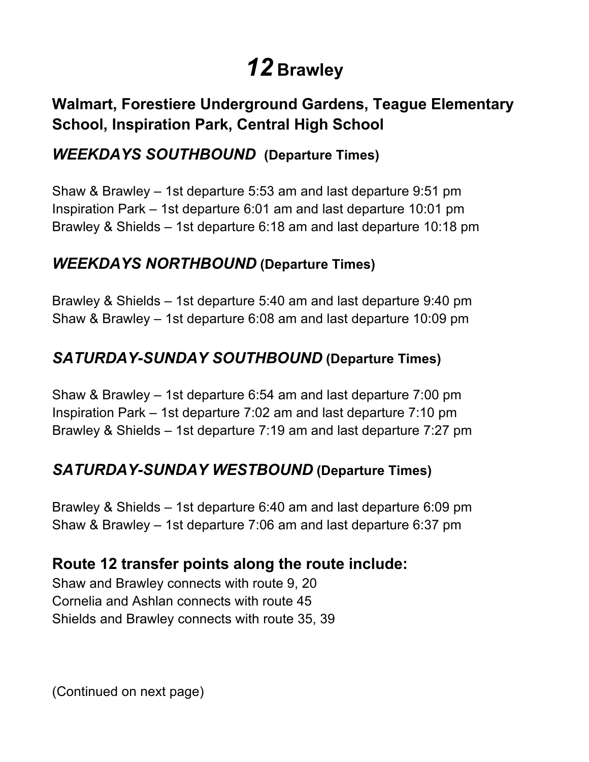# *12* **Brawley**

# **Walmart, Forestiere Underground Gardens, Teague Elementary School, Inspiration Park, Central High School**

## *WEEKDAYS SOUTHBOUND* **(Departure Times)**

 Shaw & Brawley – 1st departure 5:53 am and last departure 9:51 pm Inspiration Park – 1st departure 6:01 am and last departure 10:01 pm Brawley & Shields – 1st departure 6:18 am and last departure 10:18 pm

#### *WEEKDAYS NORTHBOUND* **(Departure Times)**

 Brawley & Shields – 1st departure 5:40 am and last departure 9:40 pm Shaw & Brawley – 1st departure 6:08 am and last departure 10:09 pm

# *SATURDAY-SUNDAY SOUTHBOUND* **(Departure Times)**

 Shaw & Brawley – 1st departure 6:54 am and last departure 7:00 pm Inspiration Park – 1st departure 7:02 am and last departure 7:10 pm Brawley & Shields – 1st departure 7:19 am and last departure 7:27 pm

## *SATURDAY-SUNDAY WESTBOUND* **(Departure Times)**

 Brawley & Shields – 1st departure 6:40 am and last departure 6:09 pm Shaw & Brawley – 1st departure 7:06 am and last departure 6:37 pm

## **Route 12 transfer points along the route include:**

 Shaw and Brawley connects with route 9, 20 Cornelia and Ashlan connects with route 45 Shields and Brawley connects with route 35, 39

(Continued on next page)